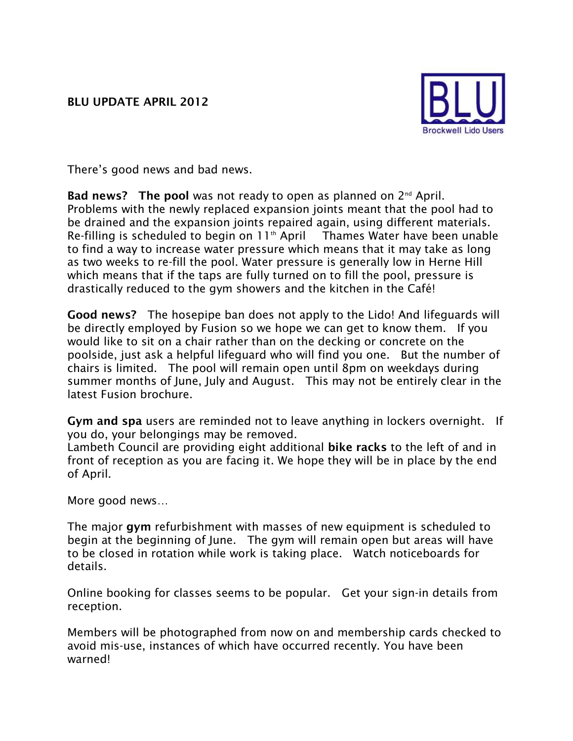

There's good news and bad news.

**Bad news? The pool** was not ready to open as planned on 2nd April. Problems with the newly replaced expansion joints meant that the pool had to be drained and the expansion joints repaired again, using different materials. Re-filling is scheduled to begin on 11th April Thames Water have been unable to find a way to increase water pressure which means that it may take as long as two weeks to re-fill the pool. Water pressure is generally low in Herne Hill which means that if the taps are fully turned on to fill the pool, pressure is drastically reduced to the gym showers and the kitchen in the Café!

**Good news?** The hosepipe ban does not apply to the Lido! And lifeguards will be directly employed by Fusion so we hope we can get to know them. If you would like to sit on a chair rather than on the decking or concrete on the poolside, just ask a helpful lifeguard who will find you one. But the number of chairs is limited. The pool will remain open until 8pm on weekdays during summer months of June, July and August. This may not be entirely clear in the latest Fusion brochure.

**Gym and spa** users are reminded not to leave anything in lockers overnight. If you do, your belongings may be removed.

Lambeth Council are providing eight additional **bike racks** to the left of and in front of reception as you are facing it. We hope they will be in place by the end of April.

More good news…

The major **gym** refurbishment with masses of new equipment is scheduled to begin at the beginning of June. The gym will remain open but areas will have to be closed in rotation while work is taking place. Watch noticeboards for details.

Online booking for classes seems to be popular. Get your sign-in details from reception.

Members will be photographed from now on and membership cards checked to avoid mis-use, instances of which have occurred recently. You have been warned!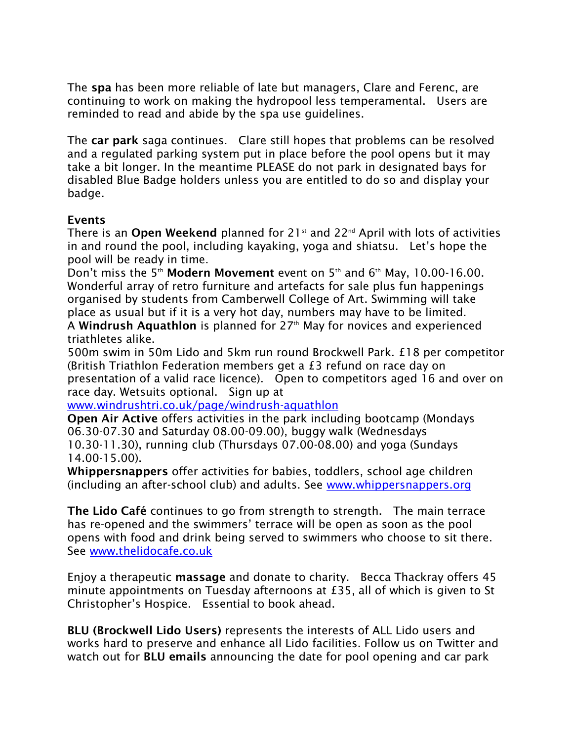The **spa** has been more reliable of late but managers, Clare and Ferenc, are continuing to work on making the hydropool less temperamental. Users are reminded to read and abide by the spa use guidelines.

The **car park** saga continues. Clare still hopes that problems can be resolved and a regulated parking system put in place before the pool opens but it may take a bit longer. In the meantime PLEASE do not park in designated bays for disabled Blue Badge holders unless you are entitled to do so and display your badge.

## **Events**

There is an **Open Weekend** planned for 21st and 22nd April with lots of activities in and round the pool, including kayaking, yoga and shiatsu. Let's hope the pool will be ready in time.

Don't miss the 5th **Modern Movement** event on 5th and 6th May, 10.00-16.00. Wonderful array of retro furniture and artefacts for sale plus fun happenings organised by students from Camberwell College of Art. Swimming will take place as usual but if it is a very hot day, numbers may have to be limited.

A **Windrush Aquathlon** is planned for 27th May for novices and experienced triathletes alike.

500m swim in 50m Lido and 5km run round Brockwell Park. £18 per competitor (British Triathlon Federation members get a £3 refund on race day on presentation of a valid race licence). Open to competitors aged 16 and over on race day. Wetsuits optional. Sign up at

[www.windrushtri.co.uk/page/windrush-aquathlon](http://www.windrushtri.co.uk/page/windrush-aquathlon)

**Open Air Active** offers activities in the park including bootcamp (Mondays 06.30-07.30 and Saturday 08.00-09.00), buggy walk (Wednesdays 10.30-11.30), running club (Thursdays 07.00-08.00) and yoga (Sundays 14.00-15.00).

**Whippersnappers** offer activities for babies, toddlers, school age children (including an after-school club) and adults. See [www.whippersnappers.org](http://www.whippersnappers.org/)

**The Lido Café** continues to go from strength to strength. The main terrace has re-opened and the swimmers' terrace will be open as soon as the pool opens with food and drink being served to swimmers who choose to sit there. See [www.thelidocafe.co.uk](http://www.thelidocafe.co.uk/)

Enjoy a therapeutic **massage** and donate to charity. Becca Thackray offers 45 minute appointments on Tuesday afternoons at £35, all of which is given to St Christopher's Hospice. Essential to book ahead.

**BLU (Brockwell Lido Users)** represents the interests of ALL Lido users and works hard to preserve and enhance all Lido facilities. Follow us on Twitter and watch out for **BLU emails** announcing the date for pool opening and car park